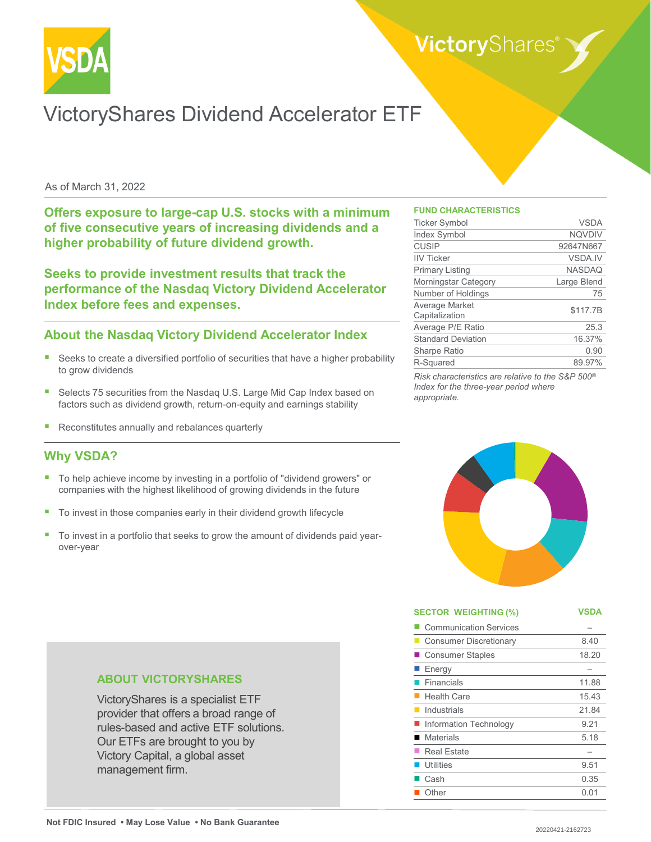

# VictoryShares Dividend Accelerator ETF

#### As of March 31, 2022

**Offers exposure to large-cap U.S. stocks with a minimum of five consecutive years of increasing dividends and a higher probability of future dividend growth.** 

**Seeks to provide investment results that track the performance of the Nasdaq Victory Dividend Accelerator Index before fees and expenses.**

## **About the Nasdaq Victory Dividend Accelerator Index**

- Seeks to create a diversified portfolio of securities that have a higher probability to grow dividends
- Selects 75 securities from the Nasdaq U.S. Large Mid Cap Index based on factors such as dividend growth, return-on-equity and earnings stability
- Reconstitutes annually and rebalances quarterly

## **Why VSDA?**

- To help achieve income by investing in a portfolio of "dividend growers" or companies with the highest likelihood of growing dividends in the future
- To invest in those companies early in their dividend growth lifecycle
- To invest in a portfolio that seeks to grow the amount of dividends paid yearover-year

#### **FUND CHARACTERISTICS**

| <b>Ticker Symbol</b>             | <b>VSDA</b>    |
|----------------------------------|----------------|
| <b>Index Symbol</b>              | <b>NQVDIV</b>  |
| <b>CUSIP</b>                     | 92647N667      |
| <b>IIV Ticker</b>                | <b>VSDA.IV</b> |
| <b>Primary Listing</b>           | <b>NASDAQ</b>  |
| Morningstar Category             | Large Blend    |
| Number of Holdings               | 75             |
| Average Market<br>Capitalization | \$117.7B       |
| Average P/E Ratio                | 25.3           |
| <b>Standard Deviation</b>        | 16.37%         |
| <b>Sharpe Ratio</b>              | 0.90           |
| R-Squared                        | 89.97%         |

*Risk characteristics are relative to the S&P 500® Index for the three-year period where appropriate.*



| <b>SECTOR WEIGHTING (%)</b>   | VSDA  |
|-------------------------------|-------|
| <b>Communication Services</b> |       |
| <b>Consumer Discretionary</b> | 8.40  |
| <b>Consumer Staples</b>       | 18.20 |
| Energy                        |       |
| Financials                    | 11.88 |
| <b>Health Care</b>            | 15.43 |
| Industrials                   | 21.84 |
| Information Technology        | 9.21  |
| <b>Materials</b>              | 5.18  |
| <b>Real Estate</b>            |       |
| <b>Utilities</b>              | 9.51  |
| Cash                          | 0.35  |
| Other                         | 0.01  |

#### **ABOUT VICTORYSHARES**

VictoryShares is a specialist ETF provider that offers a broad range of rules-based and active ETF solutions. Our ETFs are brought to you by Victory Capital, a global asset management firm.